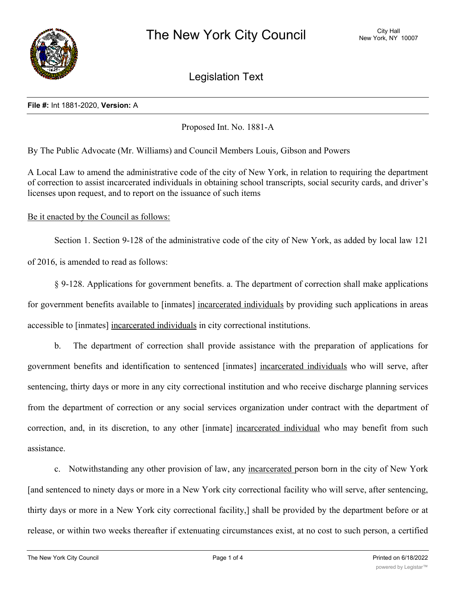

Legislation Text

## **File #:** Int 1881-2020, **Version:** A

Proposed Int. No. 1881-A

By The Public Advocate (Mr. Williams) and Council Members Louis, Gibson and Powers

A Local Law to amend the administrative code of the city of New York, in relation to requiring the department of correction to assist incarcerated individuals in obtaining school transcripts, social security cards, and driver's licenses upon request, and to report on the issuance of such items

Be it enacted by the Council as follows:

Section 1. Section 9-128 of the administrative code of the city of New York, as added by local law 121

of 2016, is amended to read as follows:

§ 9-128. Applications for government benefits. a. The department of correction shall make applications for government benefits available to [inmates] incarcerated individuals by providing such applications in areas accessible to [inmates] incarcerated individuals in city correctional institutions.

b. The department of correction shall provide assistance with the preparation of applications for government benefits and identification to sentenced [inmates] incarcerated individuals who will serve, after sentencing, thirty days or more in any city correctional institution and who receive discharge planning services from the department of correction or any social services organization under contract with the department of correction, and, in its discretion, to any other [inmate] incarcerated individual who may benefit from such assistance.

c. Notwithstanding any other provision of law, any incarcerated person born in the city of New York [and sentenced to ninety days or more in a New York city correctional facility who will serve, after sentencing, thirty days or more in a New York city correctional facility,] shall be provided by the department before or at release, or within two weeks thereafter if extenuating circumstances exist, at no cost to such person, a certified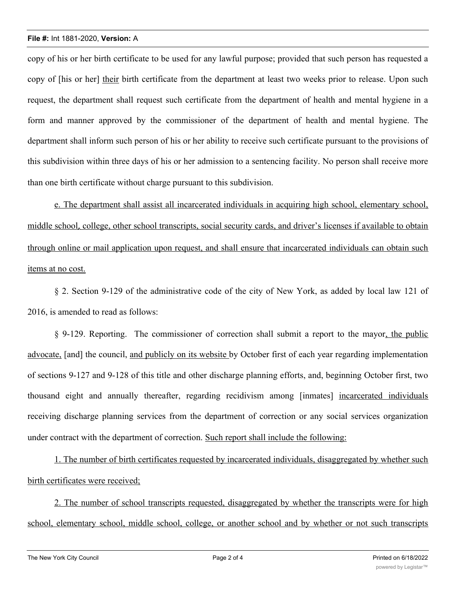## **File #:** Int 1881-2020, **Version:** A

copy of his or her birth certificate to be used for any lawful purpose; provided that such person has requested a copy of [his or her] their birth certificate from the department at least two weeks prior to release. Upon such request, the department shall request such certificate from the department of health and mental hygiene in a form and manner approved by the commissioner of the department of health and mental hygiene. The department shall inform such person of his or her ability to receive such certificate pursuant to the provisions of this subdivision within three days of his or her admission to a sentencing facility. No person shall receive more than one birth certificate without charge pursuant to this subdivision.

e. The department shall assist all incarcerated individuals in acquiring high school, elementary school, middle school, college, other school transcripts, social security cards, and driver's licenses if available to obtain through online or mail application upon request, and shall ensure that incarcerated individuals can obtain such items at no cost.

§ 2. Section 9-129 of the administrative code of the city of New York, as added by local law 121 of 2016, is amended to read as follows:

§ 9-129. Reporting. The commissioner of correction shall submit a report to the mayor, the public advocate, [and] the council, and publicly on its website by October first of each year regarding implementation of sections 9-127 and 9-128 of this title and other discharge planning efforts, and, beginning October first, two thousand eight and annually thereafter, regarding recidivism among [inmates] incarcerated individuals receiving discharge planning services from the department of correction or any social services organization under contract with the department of correction. Such report shall include the following:

1. The number of birth certificates requested by incarcerated individuals, disaggregated by whether such birth certificates were received;

2. The number of school transcripts requested, disaggregated by whether the transcripts were for high school, elementary school, middle school, college, or another school and by whether or not such transcripts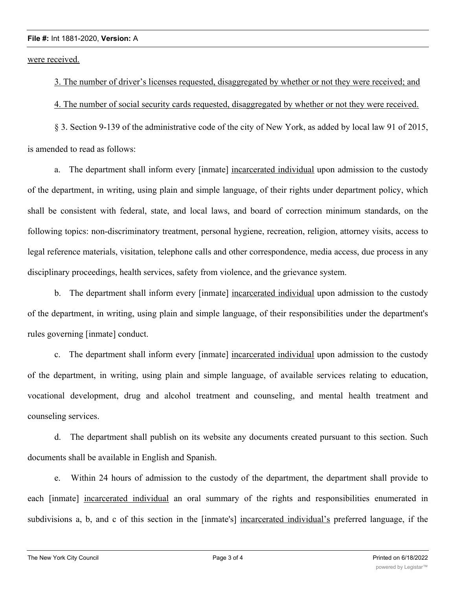## **File #:** Int 1881-2020, **Version:** A

were received.

3. The number of driver's licenses requested, disaggregated by whether or not they were received; and

4. The number of social security cards requested, disaggregated by whether or not they were received.

§ 3. Section 9-139 of the administrative code of the city of New York, as added by local law 91 of 2015, is amended to read as follows:

a. The department shall inform every [inmate] incarcerated individual upon admission to the custody of the department, in writing, using plain and simple language, of their rights under department policy, which shall be consistent with federal, state, and local laws, and board of correction minimum standards, on the following topics: non-discriminatory treatment, personal hygiene, recreation, religion, attorney visits, access to legal reference materials, visitation, telephone calls and other correspondence, media access, due process in any disciplinary proceedings, health services, safety from violence, and the grievance system.

b. The department shall inform every [inmate] incarcerated individual upon admission to the custody of the department, in writing, using plain and simple language, of their responsibilities under the department's rules governing [inmate] conduct.

c. The department shall inform every [inmate] incarcerated individual upon admission to the custody of the department, in writing, using plain and simple language, of available services relating to education, vocational development, drug and alcohol treatment and counseling, and mental health treatment and counseling services.

d. The department shall publish on its website any documents created pursuant to this section. Such documents shall be available in English and Spanish.

e. Within 24 hours of admission to the custody of the department, the department shall provide to each [inmate] incarcerated individual an oral summary of the rights and responsibilities enumerated in subdivisions a, b, and c of this section in the [inmate's] incarcerated individual's preferred language, if the